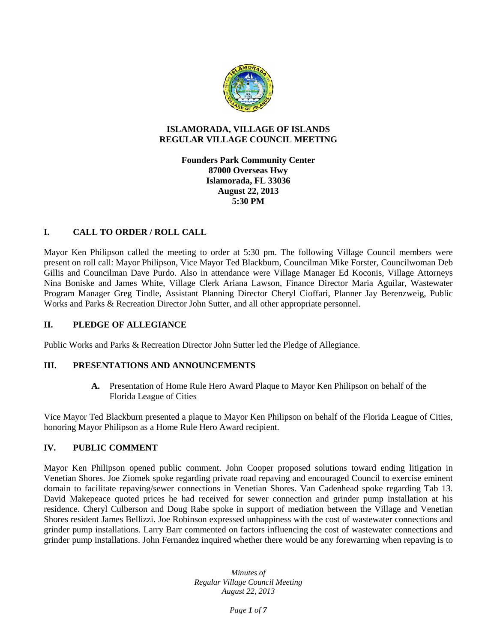

## **ISLAMORADA, VILLAGE OF ISLANDS REGULAR VILLAGE COUNCIL MEETING**

## **Founders Park Community Center 87000 Overseas Hwy Islamorada, FL 33036 August 22, 2013 5:30 PM**

# **I. CALL TO ORDER / ROLL CALL**

Mayor Ken Philipson called the meeting to order at 5:30 pm. The following Village Council members were present on roll call: Mayor Philipson, Vice Mayor Ted Blackburn, Councilman Mike Forster, Councilwoman Deb Gillis and Councilman Dave Purdo. Also in attendance were Village Manager Ed Koconis, Village Attorneys Nina Boniske and James White, Village Clerk Ariana Lawson, Finance Director Maria Aguilar, Wastewater Program Manager Greg Tindle, Assistant Planning Director Cheryl Cioffari, Planner Jay Berenzweig, Public Works and Parks & Recreation Director John Sutter, and all other appropriate personnel.

### **II. PLEDGE OF ALLEGIANCE**

Public Works and Parks & Recreation Director John Sutter led the Pledge of Allegiance.

### **III. PRESENTATIONS AND ANNOUNCEMENTS**

**A.** Presentation of Home Rule Hero Award Plaque to Mayor Ken Philipson on behalf of the Florida League of Cities

Vice Mayor Ted Blackburn presented a plaque to Mayor Ken Philipson on behalf of the Florida League of Cities, honoring Mayor Philipson as a Home Rule Hero Award recipient.

# **IV. PUBLIC COMMENT**

Mayor Ken Philipson opened public comment. John Cooper proposed solutions toward ending litigation in Venetian Shores. Joe Ziomek spoke regarding private road repaving and encouraged Council to exercise eminent domain to facilitate repaving/sewer connections in Venetian Shores. Van Cadenhead spoke regarding Tab 13. David Makepeace quoted prices he had received for sewer connection and grinder pump installation at his residence. Cheryl Culberson and Doug Rabe spoke in support of mediation between the Village and Venetian Shores resident James Bellizzi. Joe Robinson expressed unhappiness with the cost of wastewater connections and grinder pump installations. Larry Barr commented on factors influencing the cost of wastewater connections and grinder pump installations. John Fernandez inquired whether there would be any forewarning when repaving is to

> *Minutes of Regular Village Council Meeting August 22, 2013*

> > *Page 1 of 7*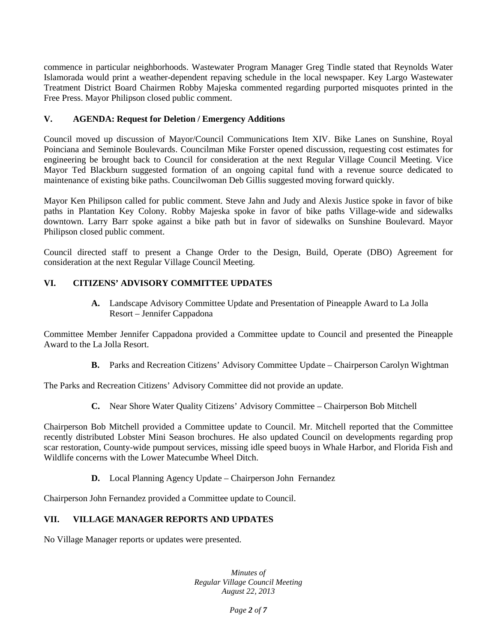commence in particular neighborhoods. Wastewater Program Manager Greg Tindle stated that Reynolds Water Islamorada would print a weather-dependent repaving schedule in the local newspaper. Key Largo Wastewater Treatment District Board Chairmen Robby Majeska commented regarding purported misquotes printed in the Free Press. Mayor Philipson closed public comment.

# **V. AGENDA: Request for Deletion / Emergency Additions**

Council moved up discussion of Mayor/Council Communications Item XIV. Bike Lanes on Sunshine, Royal Poinciana and Seminole Boulevards. Councilman Mike Forster opened discussion, requesting cost estimates for engineering be brought back to Council for consideration at the next Regular Village Council Meeting. Vice Mayor Ted Blackburn suggested formation of an ongoing capital fund with a revenue source dedicated to maintenance of existing bike paths. Councilwoman Deb Gillis suggested moving forward quickly.

Mayor Ken Philipson called for public comment. Steve Jahn and Judy and Alexis Justice spoke in favor of bike paths in Plantation Key Colony. Robby Majeska spoke in favor of bike paths Village-wide and sidewalks downtown. Larry Barr spoke against a bike path but in favor of sidewalks on Sunshine Boulevard. Mayor Philipson closed public comment.

Council directed staff to present a Change Order to the Design, Build, Operate (DBO) Agreement for consideration at the next Regular Village Council Meeting.

## **VI. CITIZENS' ADVISORY COMMITTEE UPDATES**

**A.** Landscape Advisory Committee Update and Presentation of Pineapple Award to La Jolla Resort – Jennifer Cappadona

Committee Member Jennifer Cappadona provided a Committee update to Council and presented the Pineapple Award to the La Jolla Resort.

**B.** Parks and Recreation Citizens' Advisory Committee Update – Chairperson Carolyn Wightman

The Parks and Recreation Citizens' Advisory Committee did not provide an update.

**C.** Near Shore Water Quality Citizens' Advisory Committee – Chairperson Bob Mitchell

Chairperson Bob Mitchell provided a Committee update to Council. Mr. Mitchell reported that the Committee recently distributed Lobster Mini Season brochures. He also updated Council on developments regarding prop scar restoration, County-wide pumpout services, missing idle speed buoys in Whale Harbor, and Florida Fish and Wildlife concerns with the Lower Matecumbe Wheel Ditch.

**D.** Local Planning Agency Update – Chairperson John Fernandez

Chairperson John Fernandez provided a Committee update to Council.

## **VII. VILLAGE MANAGER REPORTS AND UPDATES**

No Village Manager reports or updates were presented.

*Minutes of Regular Village Council Meeting August 22, 2013*

*Page 2 of 7*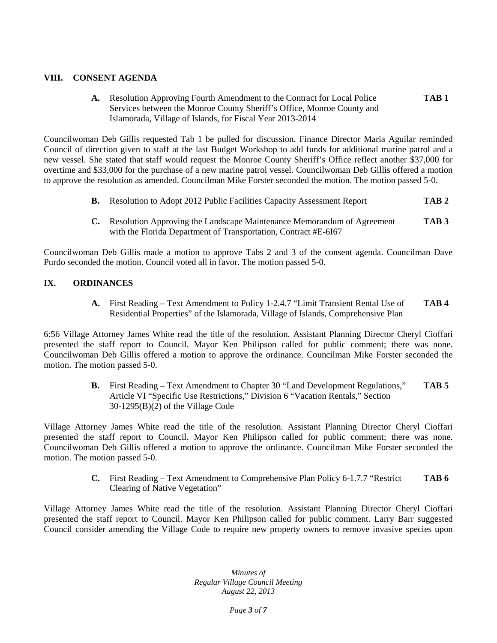## **VIII. CONSENT AGENDA**

**A.** Resolution Approving Fourth Amendment to the Contract for Local Police **TAB 1** Services between the Monroe County Sheriff's Office, Monroe County and Islamorada, Village of Islands, for Fiscal Year 2013-2014

Councilwoman Deb Gillis requested Tab 1 be pulled for discussion. Finance Director Maria Aguilar reminded Council of direction given to staff at the last Budget Workshop to add funds for additional marine patrol and a new vessel. She stated that staff would request the Monroe County Sheriff's Office reflect another \$37,000 for overtime and \$33,000 for the purchase of a new marine patrol vessel. Councilwoman Deb Gillis offered a motion to approve the resolution as amended. Councilman Mike Forster seconded the motion. The motion passed 5-0.

- **B.** Resolution to Adopt 2012 Public Facilities Capacity Assessment Report **TAB 2**
- **C.** Resolution Approving the Landscape Maintenance Memorandum of Agreement **TAB 3** with the Florida Department of Transportation, Contract #E-6I67

Councilwoman Deb Gillis made a motion to approve Tabs 2 and 3 of the consent agenda. Councilman Dave Purdo seconded the motion. Council voted all in favor. The motion passed 5-0.

# **IX. ORDINANCES**

**A.** First Reading – Text Amendment to Policy 1-2.4.7 "Limit Transient Rental Use of **TAB 4** Residential Properties" of the Islamorada, Village of Islands, Comprehensive Plan

6:56 Village Attorney James White read the title of the resolution. Assistant Planning Director Cheryl Cioffari presented the staff report to Council. Mayor Ken Philipson called for public comment; there was none. Councilwoman Deb Gillis offered a motion to approve the ordinance. Councilman Mike Forster seconded the motion. The motion passed 5-0.

> **B.** First Reading – Text Amendment to Chapter 30 "Land Development Regulations," **TAB 5** Article VI "Specific Use Restrictions," Division 6 "Vacation Rentals," Section 30-1295(B)(2) of the Village Code

Village Attorney James White read the title of the resolution. Assistant Planning Director Cheryl Cioffari presented the staff report to Council. Mayor Ken Philipson called for public comment; there was none. Councilwoman Deb Gillis offered a motion to approve the ordinance. Councilman Mike Forster seconded the motion. The motion passed 5-0.

> **C.** First Reading – Text Amendment to Comprehensive Plan Policy 6-1.7.7 "Restrict **TAB 6** Clearing of Native Vegetation"

Village Attorney James White read the title of the resolution. Assistant Planning Director Cheryl Cioffari presented the staff report to Council. Mayor Ken Philipson called for public comment. Larry Barr suggested Council consider amending the Village Code to require new property owners to remove invasive species upon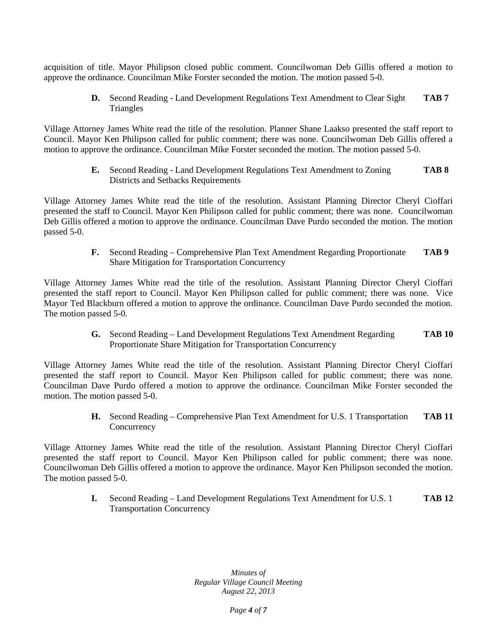acquisition of title. Mayor Philipson closed public comment. Councilwoman Deb Gillis offered a motion to approve the ordinance. Councilman Mike Forster seconded the motion. The motion passed 5-0.

> **D.** Second Reading - Land Development Regulations Text Amendment to Clear Sight **TAB 7** Triangles

Village Attorney James White read the title of the resolution. Planner Shane Laakso presented the staff report to Council. Mayor Ken Philipson called for public comment; there was none. Councilwoman Deb Gillis offered a motion to approve the ordinance. Councilman Mike Forster seconded the motion. The motion passed 5-0.

> **E.** Second Reading - Land Development Regulations Text Amendment to Zoning **TAB 8** Districts and Setbacks Requirements

Village Attorney James White read the title of the resolution. Assistant Planning Director Cheryl Cioffari presented the staff to Council. Mayor Ken Philipson called for public comment; there was none. Councilwoman Deb Gillis offered a motion to approve the ordinance. Councilman Dave Purdo seconded the motion. The motion passed 5-0.

> **F.** Second Reading – Comprehensive Plan Text Amendment Regarding Proportionate **TAB 9** Share Mitigation for Transportation Concurrency

Village Attorney James White read the title of the resolution. Assistant Planning Director Cheryl Cioffari presented the staff report to Council. Mayor Ken Philipson called for public comment; there was none. Vice Mayor Ted Blackburn offered a motion to approve the ordinance. Councilman Dave Purdo seconded the motion. The motion passed 5-0.

> **G.** Second Reading – Land Development Regulations Text Amendment Regarding **TAB 10** Proportionate Share Mitigation for Transportation Concurrency

Village Attorney James White read the title of the resolution. Assistant Planning Director Cheryl Cioffari presented the staff report to Council. Mayor Ken Philipson called for public comment; there was none. Councilman Dave Purdo offered a motion to approve the ordinance. Councilman Mike Forster seconded the motion. The motion passed 5-0.

> **H.** Second Reading – Comprehensive Plan Text Amendment for U.S. 1 Transportation **TAB 11 Concurrency**

Village Attorney James White read the title of the resolution. Assistant Planning Director Cheryl Cioffari presented the staff report to Council. Mayor Ken Philipson called for public comment; there was none. Councilwoman Deb Gillis offered a motion to approve the ordinance. Mayor Ken Philipson seconded the motion. The motion passed 5-0.

> **I.** Second Reading – Land Development Regulations Text Amendment for U.S. 1 **TAB 12** Transportation Concurrency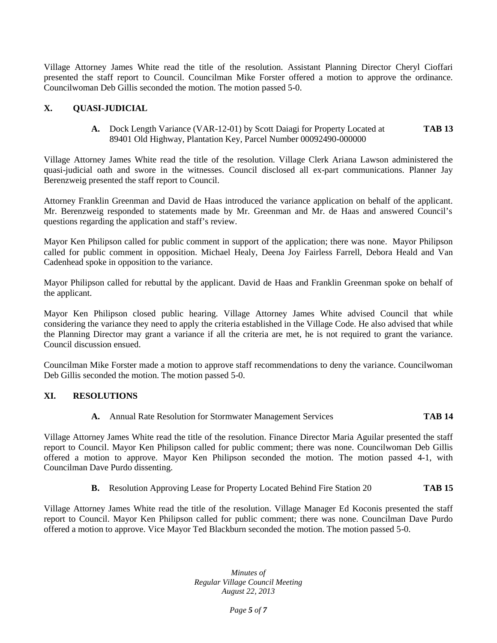Village Attorney James White read the title of the resolution. Assistant Planning Director Cheryl Cioffari presented the staff report to Council. Councilman Mike Forster offered a motion to approve the ordinance. Councilwoman Deb Gillis seconded the motion. The motion passed 5-0.

# **X. QUASI-JUDICIAL**

**A.** Dock Length Variance (VAR-12-01) by Scott Daiagi for Property Located at **TAB 13** 89401 Old Highway, Plantation Key, Parcel Number 00092490-000000

Village Attorney James White read the title of the resolution. Village Clerk Ariana Lawson administered the quasi-judicial oath and swore in the witnesses. Council disclosed all ex-part communications. Planner Jay Berenzweig presented the staff report to Council.

Attorney Franklin Greenman and David de Haas introduced the variance application on behalf of the applicant. Mr. Berenzweig responded to statements made by Mr. Greenman and Mr. de Haas and answered Council's questions regarding the application and staff's review.

Mayor Ken Philipson called for public comment in support of the application; there was none. Mayor Philipson called for public comment in opposition. Michael Healy, Deena Joy Fairless Farrell, Debora Heald and Van Cadenhead spoke in opposition to the variance.

Mayor Philipson called for rebuttal by the applicant. David de Haas and Franklin Greenman spoke on behalf of the applicant.

Mayor Ken Philipson closed public hearing. Village Attorney James White advised Council that while considering the variance they need to apply the criteria established in the Village Code. He also advised that while the Planning Director may grant a variance if all the criteria are met, he is not required to grant the variance. Council discussion ensued.

Councilman Mike Forster made a motion to approve staff recommendations to deny the variance. Councilwoman Deb Gillis seconded the motion. The motion passed 5-0.

# **XI. RESOLUTIONS**

**A.** Annual Rate Resolution for Stormwater Management Services **TAB 14**

Village Attorney James White read the title of the resolution. Finance Director Maria Aguilar presented the staff report to Council. Mayor Ken Philipson called for public comment; there was none. Councilwoman Deb Gillis offered a motion to approve. Mayor Ken Philipson seconded the motion. The motion passed 4-1, with Councilman Dave Purdo dissenting.

**B.** Resolution Approving Lease for Property Located Behind Fire Station 20 **TAB 15**

Village Attorney James White read the title of the resolution. Village Manager Ed Koconis presented the staff report to Council. Mayor Ken Philipson called for public comment; there was none. Councilman Dave Purdo offered a motion to approve. Vice Mayor Ted Blackburn seconded the motion. The motion passed 5-0.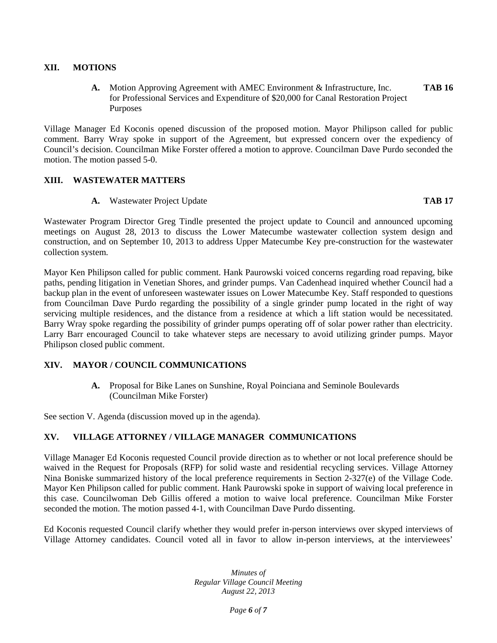## **XII. MOTIONS**

**A.** Motion Approving Agreement with AMEC Environment & Infrastructure, Inc. **TAB 16** for Professional Services and Expenditure of \$20,000 for Canal Restoration Project Purposes

Village Manager Ed Koconis opened discussion of the proposed motion. Mayor Philipson called for public comment. Barry Wray spoke in support of the Agreement, but expressed concern over the expediency of Council's decision. Councilman Mike Forster offered a motion to approve. Councilman Dave Purdo seconded the motion. The motion passed 5-0.

### **XIII. WASTEWATER MATTERS**

### **A.** Wastewater Project Update **TAB 17**

Wastewater Program Director Greg Tindle presented the project update to Council and announced upcoming meetings on August 28, 2013 to discuss the Lower Matecumbe wastewater collection system design and construction, and on September 10, 2013 to address Upper Matecumbe Key pre-construction for the wastewater collection system.

Mayor Ken Philipson called for public comment. Hank Paurowski voiced concerns regarding road repaving, bike paths, pending litigation in Venetian Shores, and grinder pumps. Van Cadenhead inquired whether Council had a backup plan in the event of unforeseen wastewater issues on Lower Matecumbe Key. Staff responded to questions from Councilman Dave Purdo regarding the possibility of a single grinder pump located in the right of way servicing multiple residences, and the distance from a residence at which a lift station would be necessitated. Barry Wray spoke regarding the possibility of grinder pumps operating off of solar power rather than electricity. Larry Barr encouraged Council to take whatever steps are necessary to avoid utilizing grinder pumps. Mayor Philipson closed public comment.

### **XIV. MAYOR / COUNCIL COMMUNICATIONS**

**A.** Proposal for Bike Lanes on Sunshine, Royal Poinciana and Seminole Boulevards (Councilman Mike Forster)

See section V. Agenda (discussion moved up in the agenda).

# **XV. VILLAGE ATTORNEY / VILLAGE MANAGER COMMUNICATIONS**

Village Manager Ed Koconis requested Council provide direction as to whether or not local preference should be waived in the Request for Proposals (RFP) for solid waste and residential recycling services. Village Attorney Nina Boniske summarized history of the local preference requirements in Section 2-327(e) of the Village Code. Mayor Ken Philipson called for public comment. Hank Paurowski spoke in support of waiving local preference in this case. Councilwoman Deb Gillis offered a motion to waive local preference. Councilman Mike Forster seconded the motion. The motion passed 4-1, with Councilman Dave Purdo dissenting.

Ed Koconis requested Council clarify whether they would prefer in-person interviews over skyped interviews of Village Attorney candidates. Council voted all in favor to allow in-person interviews, at the interviewees'